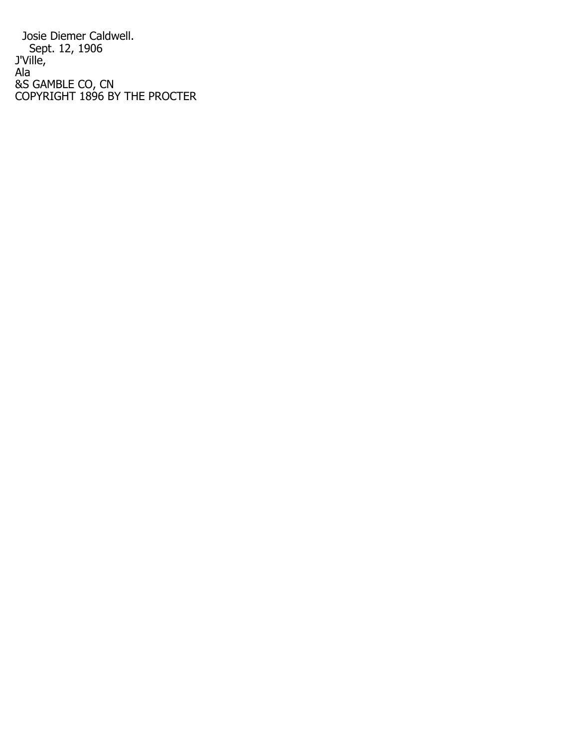Josie Diemer Caldwell. Sept. 12, 1906 J'Ville, Ala &S GAMBLE CO, CN COPYRIGHT 1896 BY THE PROCTER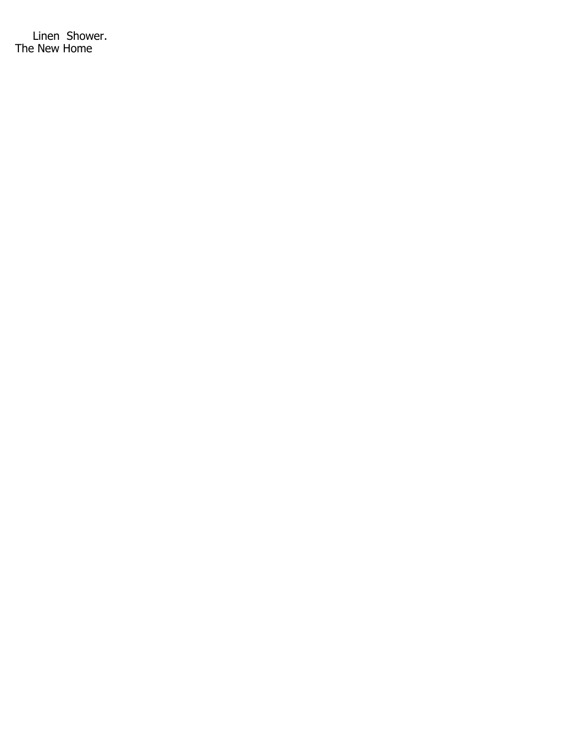Linen Shower. The New Home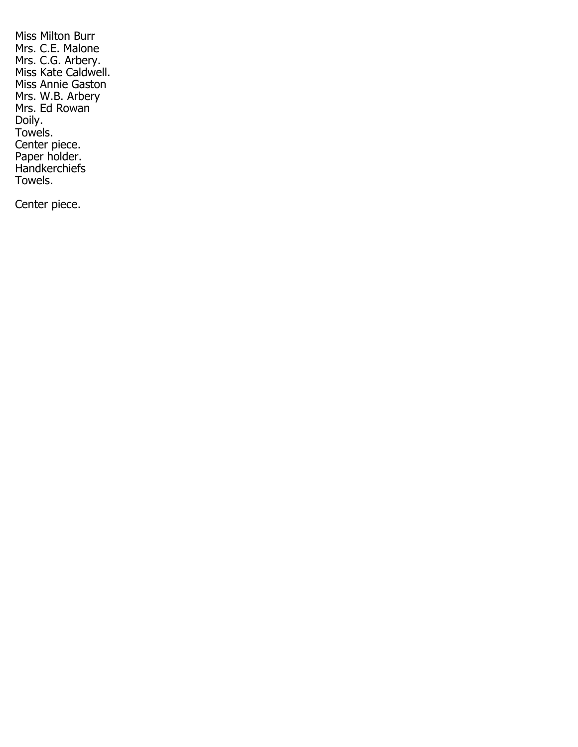Miss Milton Burr Mrs. C.E. Malone Mrs. C.G. Arbery. Miss Kate Caldwell. Miss Annie Gaston Mrs. W.B. Arbery Mrs. Ed Rowan Doily. Towels. Center piece. Paper holder. **Handkerchiefs** Towels.

Center piece.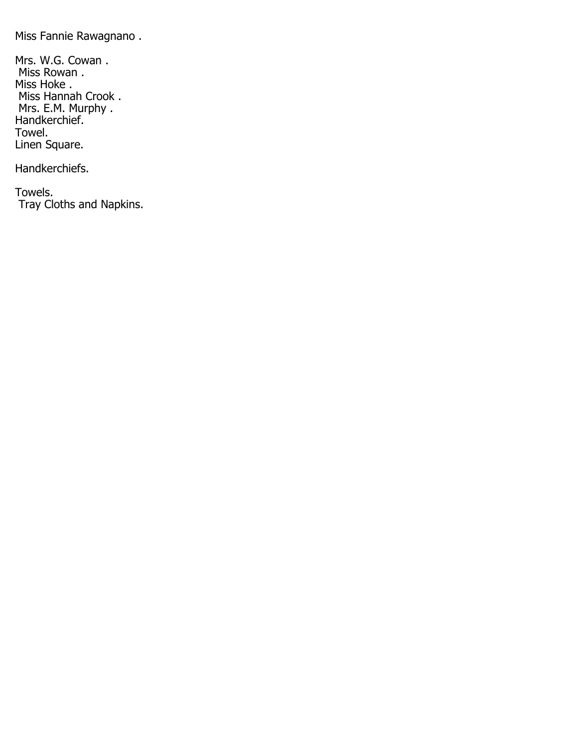Miss Fannie Rawagnano .

Mrs. W.G. Cowan . Miss Rowan . Miss Hoke . Miss Hannah Crook . Mrs. E.M. Murphy . Handkerchief. Towel. Linen Square.

Handkerchiefs.

Towels. Tray Cloths and Napkins.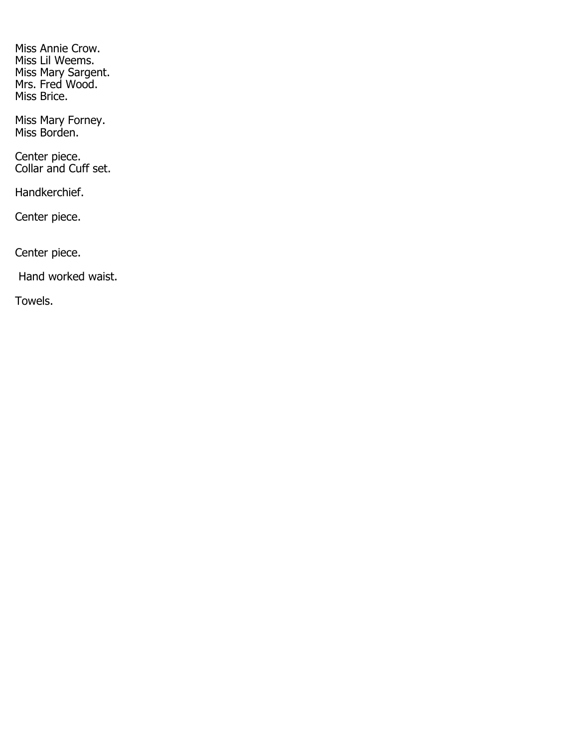Miss Annie Crow. Miss Lil Weems. Miss Mary Sargent. Mrs. Fred Wood. Miss Brice.

Miss Mary Forney. Miss Borden.

Center piece. Collar and Cuff set.

Handkerchief.

Center piece.

Center piece.

Hand worked waist.

Towels.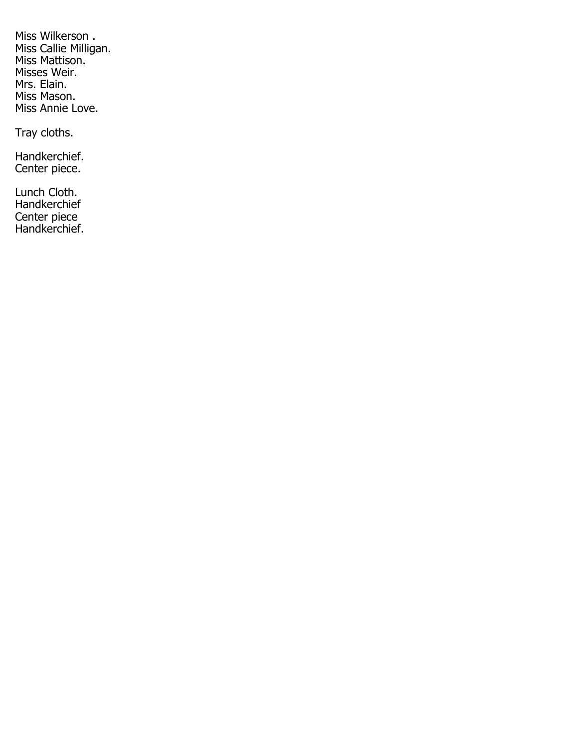Miss Wilkerson . Miss Callie Milligan. Miss Mattison. Misses Weir. Mrs. Elain. Miss Mason. Miss Annie Love.

Tray cloths.

Handkerchief. Center piece.

Lunch Cloth. Handkerchief Center piece Handkerchief.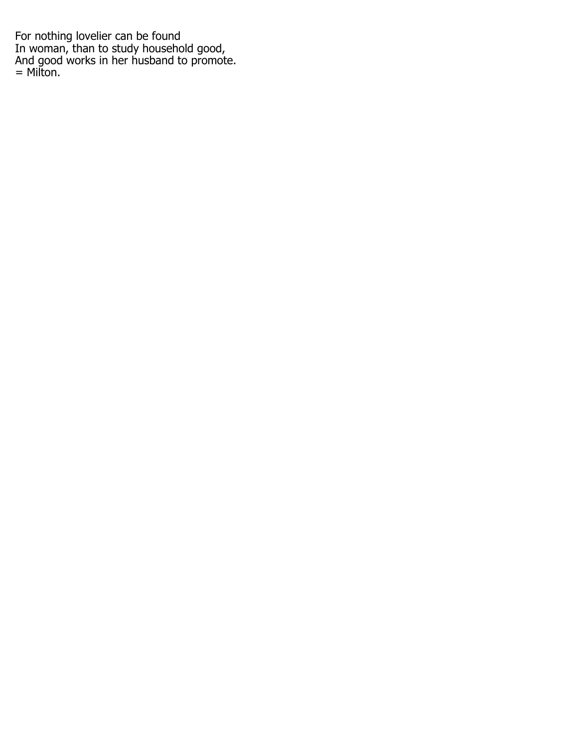For nothing lovelier can be found In woman, than to study household good, And good works in her husband to promote. = Milton.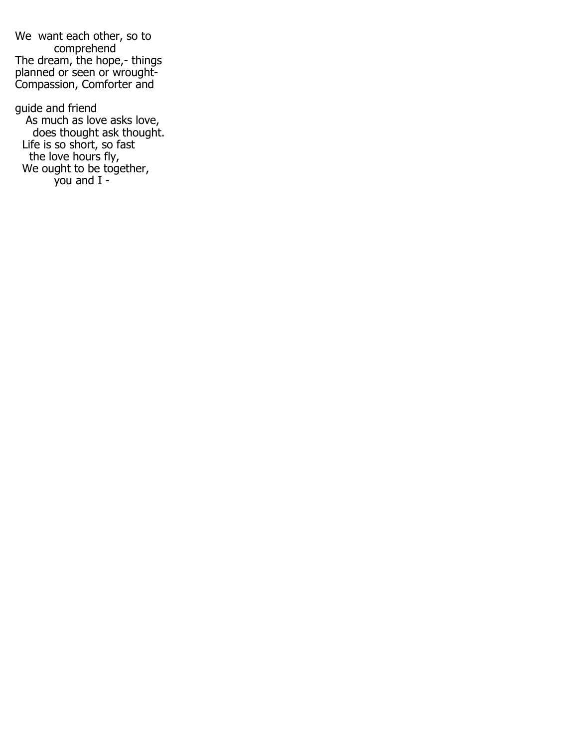We want each other, so to comprehend The dream, the hope,- things planned or seen or wrought-Compassion, Comforter and

guide and friend As much as love asks love, does thought ask thought. Life is so short, so fast the love hours fly, We ought to be together, you and I -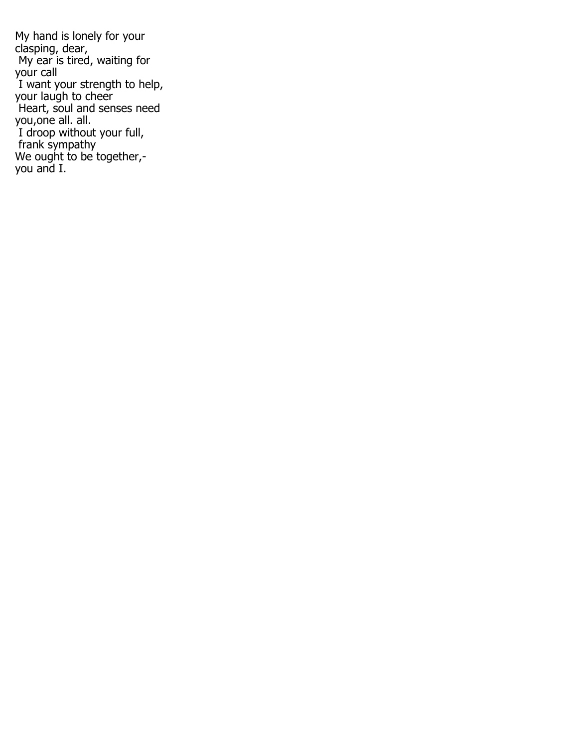My hand is lonely for your clasping, dear, My ear is tired, waiting for your call I want your strength to help, your laugh to cheer Heart, soul and senses need you,one all. all. I droop without your full, frank sympathy We ought to be together, you and I.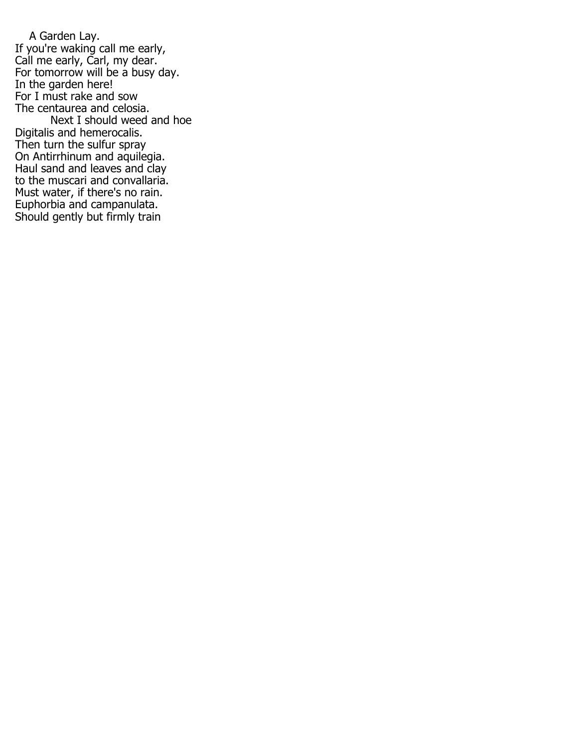A Garden Lay. If you're waking call me early, Call me early, Carl, my dear. For tomorrow will be a busy day. In the garden here! For I must rake and sow The centaurea and celosia. Next I should weed and hoe Digitalis and hemerocalis. Then turn the sulfur spray On Antirrhinum and aquilegia. Haul sand and leaves and clay to the muscari and convallaria. Must water, if there's no rain. Euphorbia and campanulata. Should gently but firmly train